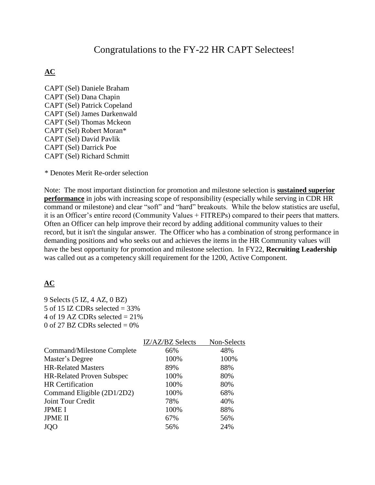# Congratulations to the FY-22 HR CAPT Selectees!

## **AC**

CAPT (Sel) Daniele Braham CAPT (Sel) Dana Chapin CAPT (Sel) Patrick Copeland CAPT (Sel) James Darkenwald CAPT (Sel) Thomas Mckeon CAPT (Sel) Robert Moran\* CAPT (Sel) David Pavlik CAPT (Sel) Darrick Poe CAPT (Sel) Richard Schmitt

\* Denotes Merit Re-order selection

Note: The most important distinction for promotion and milestone selection is **sustained superior performance** in jobs with increasing scope of responsibility (especially while serving in CDR HR command or milestone) and clear "soft" and "hard" breakouts. While the below statistics are useful, it is an Officer's entire record (Community Values + FITREPs) compared to their peers that matters. Often an Officer can help improve their record by adding additional community values to their record, but it isn't the singular answer. The Officer who has a combination of strong performance in demanding positions and who seeks out and achieves the items in the HR Community values will have the best opportunity for promotion and milestone selection. In FY22, **Recruiting Leadership** was called out as a competency skill requirement for the 1200, Active Component.

## **AC**

9 Selects (5 IZ, 4 AZ, 0 BZ) 5 of 15 IZ CDRs selected  $=$  33% 4 of 19 AZ CDRs selected  $= 21\%$ 0 of 27 BZ CDRs selected  $= 0\%$ 

|                                  | IZ/AZ/BZ Selects | Non-Selects |
|----------------------------------|------------------|-------------|
| Command/Milestone Complete       | 66%              | 48%         |
| Master's Degree                  | 100%             | 100%        |
| <b>HR-Related Masters</b>        | 89%              | 88%         |
| <b>HR-Related Proven Subspec</b> | 100%             | 80%         |
| <b>HR</b> Certification          | 100%             | 80%         |
| Command Eligible (2D1/2D2)       | 100%             | 68%         |
| Joint Tour Credit                | 78%              | 40%         |
| <b>JPME I</b>                    | 100%             | 88%         |
| <b>JPME II</b>                   | 67%              | 56%         |
| <b>JQO</b>                       | 56%              | 24%         |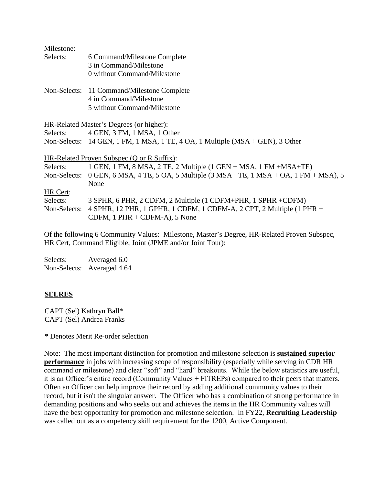| Milestone:   |                                                                               |
|--------------|-------------------------------------------------------------------------------|
| Selects:     | 6 Command/Milestone Complete                                                  |
|              | 3 in Command/Milestone                                                        |
|              | 0 without Command/Milestone                                                   |
|              | Non-Selects: 11 Command/Milestone Complete                                    |
|              | 4 in Command/Milestone                                                        |
|              | 5 without Command/Milestone                                                   |
|              | HR-Related Master's Degrees (or higher):                                      |
| Selects:     | 4 GEN, 3 FM, 1 MSA, 1 Other                                                   |
|              | Non-Selects: 14 GEN, 1 FM, 1 MSA, 1 TE, 4 OA, 1 Multiple (MSA + GEN), 3 Other |
|              | HR-Related Proven Subspec (Q or R Suffix):                                    |
| Selects:     | 1 GEN, 1 FM, 8 MSA, 2 TE, 2 Multiple $(1$ GEN + MSA, 1 FM + MSA + TE)         |
| Non-Selects: | 0 GEN, 6 MSA, 4 TE, 5 OA, 5 Multiple $(3$ MSA +TE, 1 MSA + OA, 1 FM + MSA), 5 |
|              | None                                                                          |
| HR Cert:     |                                                                               |
| Selects:     | 3 SPHR, 6 PHR, 2 CDFM, 2 Multiple (1 CDFM+PHR, 1 SPHR +CDFM)                  |
| Non-Selects: | 4 SPHR, 12 PHR, 1 GPHR, 1 CDFM, 1 CDFM-A, 2 CPT, 2 Multiple (1 PHR +          |
|              | CDFM, $1$ PHR + CDFM-A), $5$ None                                             |
|              |                                                                               |
|              |                                                                               |

Of the following 6 Community Values: Milestone, Master's Degree, HR-Related Proven Subspec, HR Cert, Command Eligible, Joint (JPME and/or Joint Tour):

Selects: Averaged 6.0 Non-Selects: Averaged 4.64

## **SELRES**

CAPT (Sel) Kathryn Ball\* CAPT (Sel) Andrea Franks

\* Denotes Merit Re-order selection

Note: The most important distinction for promotion and milestone selection is **sustained superior performance** in jobs with increasing scope of responsibility (especially while serving in CDR HR command or milestone) and clear "soft" and "hard" breakouts. While the below statistics are useful, it is an Officer's entire record (Community Values + FITREPs) compared to their peers that matters. Often an Officer can help improve their record by adding additional community values to their record, but it isn't the singular answer. The Officer who has a combination of strong performance in demanding positions and who seeks out and achieves the items in the HR Community values will have the best opportunity for promotion and milestone selection. In FY22, **Recruiting Leadership** was called out as a competency skill requirement for the 1200, Active Component.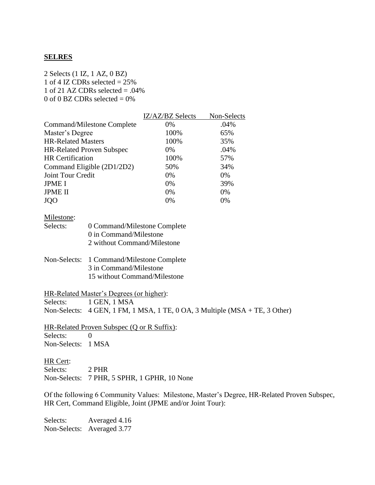#### **SELRES**

2 Selects (1 IZ, 1 AZ, 0 BZ) 1 of 4 IZ CDRs selected  $= 25\%$ 1 of 21 AZ CDRs selected  $= .04\%$ 0 of 0 BZ CDRs selected  $= 0\%$ 

|                                  | IZ/AZ/BZ Selects | Non-Selects |
|----------------------------------|------------------|-------------|
| Command/Milestone Complete       | 0%               | .04%        |
| Master's Degree                  | 100%             | 65%         |
| <b>HR-Related Masters</b>        | 100%             | 35%         |
| <b>HR-Related Proven Subspec</b> | 0%               | .04%        |
| <b>HR</b> Certification          | 100%             | 57%         |
| Command Eligible (2D1/2D2)       | 50%              | 34%         |
| Joint Tour Credit                | 0%               | 0%          |
| <b>JPME I</b>                    | 0%               | 39%         |
| <b>JPME II</b>                   | 0%               | 0%          |
| <b>JQO</b>                       | 0%               | 0%          |

#### Milestone:

| Selects: | 0 Command/Milestone Complete |
|----------|------------------------------|
|          | 0 in Command/Milestone       |
|          | 2 without Command/Milestone  |

#### Non-Selects: 1 Command/Milestone Complete 3 in Command/Milestone 15 without Command/Milestone

#### HR-Related Master's Degrees (or higher):

Selects: 1 GEN, 1 MSA

Non-Selects: 4 GEN, 1 FM, 1 MSA, 1 TE, 0 OA, 3 Multiple (MSA + TE, 3 Other)

HR-Related Proven Subspec (Q or R Suffix): Selects: 0 Non-Selects: 1 MSA

#### HR Cert:

Selects: 2 PHR Non-Selects: 7 PHR, 5 SPHR, 1 GPHR, 10 None

Of the following 6 Community Values: Milestone, Master's Degree, HR-Related Proven Subspec, HR Cert, Command Eligible, Joint (JPME and/or Joint Tour):

Selects: Averaged 4.16 Non-Selects: Averaged 3.77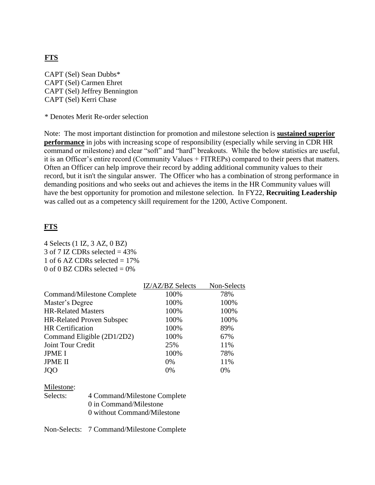## **FTS**

CAPT (Sel) Sean Dubbs\* CAPT (Sel) Carmen Ehret CAPT (Sel) Jeffrey Bennington CAPT (Sel) Kerri Chase

\* Denotes Merit Re-order selection

Note: The most important distinction for promotion and milestone selection is **sustained superior performance** in jobs with increasing scope of responsibility (especially while serving in CDR HR command or milestone) and clear "soft" and "hard" breakouts. While the below statistics are useful, it is an Officer's entire record (Community Values + FITREPs) compared to their peers that matters. Often an Officer can help improve their record by adding additional community values to their record, but it isn't the singular answer. The Officer who has a combination of strong performance in demanding positions and who seeks out and achieves the items in the HR Community values will have the best opportunity for promotion and milestone selection. In FY22, **Recruiting Leadership** was called out as a competency skill requirement for the 1200, Active Component.

### **FTS**

4 Selects (1 IZ, 3 AZ, 0 BZ)  $3$  of  $7$  IZ CDRs selected  $= 43\%$ 1 of 6 AZ CDRs selected  $= 17\%$ 0 of 0 BZ CDRs selected  $= 0\%$ 

|                                  | IZ/AZ/BZ Selects | Non-Selects |
|----------------------------------|------------------|-------------|
| Command/Milestone Complete       | 100%             | 78%         |
| Master's Degree                  | 100%             | 100%        |
| <b>HR-Related Masters</b>        | 100%             | 100%        |
| <b>HR-Related Proven Subspec</b> | 100%             | 100%        |
| <b>HR</b> Certification          | 100%             | 89%         |
| Command Eligible (2D1/2D2)       | 100%             | 67%         |
| Joint Tour Credit                | 25%              | 11%         |
| <b>JPME I</b>                    | 100%             | 78%         |
| <b>JPME II</b>                   | $0\%$            | 11%         |
| <b>JOO</b>                       | 0%               | 0%          |
|                                  |                  |             |

#### Milestone:

| Selects: | 4 Command/Milestone Complete |
|----------|------------------------------|
|          | 0 in Command/Milestone       |
|          | 0 without Command/Milestone  |

Non-Selects: 7 Command/Milestone Complete